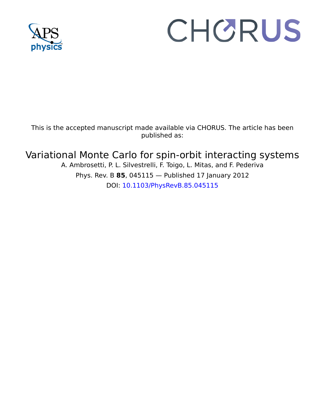

# CHORUS

This is the accepted manuscript made available via CHORUS. The article has been published as:

# Variational Monte Carlo for spin-orbit interacting systems

A. Ambrosetti, P. L. Silvestrelli, F. Toigo, L. Mitas, and F. Pederiva Phys. Rev. B **85**, 045115 — Published 17 January 2012 DOI: [10.1103/PhysRevB.85.045115](http://dx.doi.org/10.1103/PhysRevB.85.045115)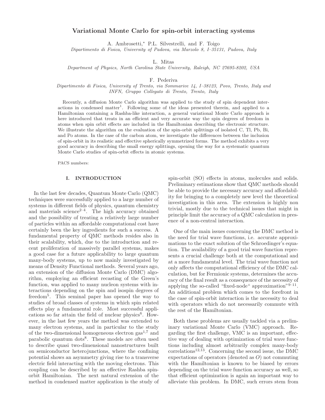# Variational Monte Carlo for spin-orbit interacting systems

A. Ambrosetti,<sup>∗</sup> P.L. Silvestrelli, and F. Toigo

Dipartimento di Fisica, University of Padova, via Marzolo 8, I–35131, Padova, Italy

L. Mitas

Department of Physics, North Carolina State University, Raleigh, NC 27695-8202, USA

F. Pederiva

Dipartimento di Fisica, University of Trento, via Sommarive 14, I–38123, Povo, Trento, Italy and INFN, Gruppo Collegato di Trento, Trento, Italy

Recently, a diffusion Monte Carlo algorithm was applied to the study of spin dependent interactions in condensed matter<sup>1</sup>. Following some of the ideas presented therein, and applied to a Hamiltonian containing a Rashba-like interaction, a general variational Monte Carlo approach is here introduced that treats in an efficient and very accurate way the spin degrees of freedom in atoms when spin orbit effects are included in the Hamiltonian describing the electronic structure. We illustrate the algorithm on the evaluation of the spin-orbit splittings of isolated C, Tl, Pb, Bi, and Po atoms. In the case of the carbon atom, we investigate the differences between the inclusion of spin-orbit in its realistic and effective spherically symmetrized forms. The method exhibits a very good accuracy in describing the small energy splittings, opening the way for a systematic quantum Monte Carlo studies of spin-orbit effects in atomic systems.

PACS numbers:

# I. INTRODUCTION

when spin orbit effects are included in the Hamiltonian describing<br>o atoms. In the case of the caphon atom, we investigate the different<br>o atoms. In the case of the carbon atom, we investigate the different<br>o-orbit in its arisin in condensad mather. Fallowing some of the ideas presented the<br>relation and applied to a model that tens in an differential over the idea presented theories in the mathematic and were incoming the spin degrees of f In the last few decades, Quantum Monte Carlo (QMC) techniques were successfully applied to a large number of systems in different fields of physics, quantum chemistry and materials science<sup>2–4</sup>. The high accuracy obtained and the possibility of treating a relatively large number of particles within an affordable computational cost have certainly been the key ingredients for such a success. A fundamental property of QMC methods resides also in their scalability, which, due to the introduction and recent proliferation of massively parallel systems, makes a good case for a future applicability to large quantum many-body systems, up to now mainly investigated by means of Density Functional methods. Several years ago, an extension of the diffusion Monte Carlo (DMC) algorithm, employing an efficient recasting of the Green's function, was applied to many nucleon systems with interactions depending on the spin and isospin degrees of freedom<sup>5</sup> . This seminal paper has opened the way to studies of broad classes of systems in which spin related effects play a fundamental role. Most successful applications so far attain the field of nuclear physics<sup>6</sup>. However, in the last few years the method was extended to many electron systems, and in particular to the study of the two-dimensional homogeneous electron  $\text{gas}^{1,7}$  and parabolic quantum dots<sup>8</sup>. These models are often used to describe quasi two-dimensional nanostructures built on semiconductor heterojunctions, where the confining potential shows an asymmetry giving rise to a transverse electric field interacting with the moving electrons. This coupling can be described by an effective Rashba spinorbit Hamiltonian. The next natural extension of the method in condensed matter application is the study of

spin-orbit (SO) effects in atoms, molecules and solids. Preliminary estimations show that QMC methods should be able to provide the necessary accuracy and affordability for bringing to a completely new level the theoretical investigation in this area. The extension is highly non trivial, mostly due to the technical issues that might in principle limit the accuracy of a QMC calculation in presence of a non-central interaction.

One of the main issues concerning the DMC method is the need for trial wave functions, i.e. accurate approximations to the exact solution of the Schroedinger's equation. The availability of a good trial wave function represents a crucial challenge both at the computational and at a more fundamental level. The trial wave function not only affects the computational efficiency of the DMC calculation, but for Fermionic systems, determines the accuracy of the final result as a consequence of the necessity of applying the so-called "fixed-node" approximation"<sup>9-11</sup>. An additional problem which comes to the forefront in the case of spin-orbit interaction is the necessity to deal with operators which do not necessarily commute with the rest of the Hamiltonian.

Both these problems are usually tackled via a preliminary variational Monte Carlo (VMC) approach. Regarding the first challenge, VMC is an important, effective way of dealing with optimization of trial wave functions including almost arbitrarily complex many-body  $correlations<sup>12,13</sup>$ . Concerning the second issue, the DMC expectations of operators (denoted as  $O$ ) not commuting with the Hamiltonian is known to be biased by errors depending on the trial wave function accuracy as well, so that efficient optimization is again an important way to alleviate this problem. In DMC, such errors stem from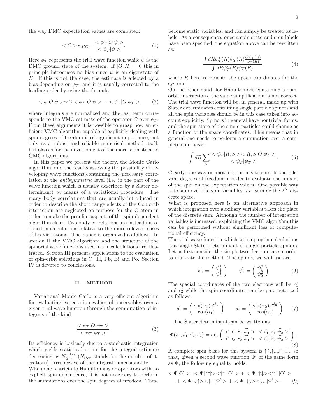the way DMC expectation values are computed:

$$
\langle O \rangle_{DMC} = \frac{\langle \phi_T | O | \psi \rangle}{\langle \phi_T | \psi \rangle}.
$$
 (1)

Here  $\phi_T$  represents the trial wave function while  $\psi$  is the DMC ground state of the system. If  $[O, H] = 0$  this in principle introduces no bias since  $\psi$  is an eigenstate of H. If this is not the case, the estimate is affected by a bias depending on  $\phi_T$ , and it is usually corrected to the leading order by using the formula

$$
\langle \psi | O | \psi \rangle \sim 2 \langle \phi_T | O | \psi \rangle - \langle \phi_T | O | \phi_T \rangle, \qquad (2)
$$

where integrals are normalized and the last term corresponds to the VMC estimate of the operator O over  $\phi_T$ . From these arguments it is possible to grasp how an efficient VMC algorithm capable of explicitly dealing with spin degrees of freedom is of significant importance, not only as a robust and reliable numerical method itself, but also as for the development of the more sophisticated QMC algorithms.

In this paper we present the theory, the Monte Carlo algorithm, and the results assessing the possibility of developing wave functions containing the necessary correlation at the antisymmetric level (i.e. in the part of the wave function which is usually described by a Slater determinant) by means of a variational procedure. The many body correlations that are usually introduced in order to describe the short range effects of the Coulomb interaction are neglected on purpose for the C atom in order to make the peculiar aspects of the spin-dependent algorithm clear. Two body correlations are instead introduced in calculations relative to the more relevant cases of heavier atoms. The paper is organized as follows. In section II the VMC algorithm and the structure of the spinorial wave functions used in the calculations are illustrated. Section III presents applications to the evaluation of spin-orbit splittings in C, Tl, Pb, Bi and Po. Section IV is devoted to conclusions.

### II. METHOD

Variational Monte Carlo is a very efficient algorithm for evaluating expectation values of observables over a given trial wave function through the computation of integrals of the kind

$$
\frac{\langle \psi_T | O | \psi_T \rangle}{\langle \psi_T | \psi_T \rangle}.
$$
\n(3)

Its efficiency is basically due to a stochastic integration which yields statistical errors for the integral estimate decreasing as  $N_{iter}^{-1/2}$  ( $N_{iter}$  stands for the number of iterations), irrespective of the integral dimensionality.

When one restricts to Hamiltonians or operators with no explicit spin dependence, it is not necessary to perform the summations over the spin degrees of freedom. These

become static variables, and can simply be treated as labels. As a consequence, once a spin state and spin labels have been specified, the equation above can be rewritten as:

$$
\frac{\int dR\psi_T^*(R)\psi_T(R)\frac{\mathcal{O}\psi_T(R)}{\psi_T(R)}}{\int dR\psi_T^*(R)\psi_T(R)},\tag{4}
$$

where  $R$  here represents the space coordinates for the system.

On the other hand, for Hamiltonians containing a spinorbit interactions, the same simplification is not correct. The trial wave function will be, in general, made up with Slater determinants containing single particle spinors and all the spin variables should be in this case taken into account explicitly. Spinors in general have nontrivial forms, and the spin state of the single particles could change as a function of the space coordinates. This means that in general one needs to perform a summation over a complete spin basis:

$$
\int dR \sum_{S} \frac{\langle \psi_T | R, S \rangle \langle R, S | O | \psi_T \rangle}{\langle \psi_T | \psi_T \rangle}.
$$
 (5)

Clearly, one way or another, one has to sample the relevant degrees of freedom in order to evaluate the impact of the spin on the expectation values. One possible way is to sum over the spin variables, *i.e.* sample the  $2^N$  discrete space.

What is proposed here is an alternative approach in which integration over auxiliary variables takes the place of the discrete sum. Although the number of integration variables is increased, exploiting the VMC algorithm this can be performed without significant loss of computational efficiency.

The trial wave function which we employ in calculations is a single Slater determinant of single-particle spinors. Let us first consider the simple two-electron case in order to illustrate the method. The spinors we will use are

$$
\vec{\psi}_1 = \begin{pmatrix} \psi_1^1 \\ \psi_2^1 \end{pmatrix} \qquad \vec{\psi}_2 = \begin{pmatrix} \psi_1^2 \\ \psi_2^2 \end{pmatrix} \tag{6}
$$

The spacial coordinates of the two electrons will be  $\vec{r_1}$ and  $\vec{r}_2$  while the spin coordinates can be parameterized as follows:

$$
\vec{s}_1 = \begin{pmatrix} \sin(\alpha_1)e^{i\delta_1} \\ \cos(\alpha_1) \end{pmatrix} \qquad \vec{s}_2 = \begin{pmatrix} \sin(\alpha_2)e^{i\delta_2} \\ \cos(\alpha_2) \end{pmatrix} \tag{7}
$$

The Slater determinant can be written as

$$
\Phi(\vec{r}_1, \vec{s}_1, \vec{r}_2, \vec{s}_2) = \det \begin{pmatrix} \langle \vec{s}_1, \vec{r}_1 | \vec{\psi}_1 \rangle & \langle \vec{s}_1, \vec{r}_1 | \vec{\psi}_2 \rangle \\ \langle \vec{s}_2, \vec{r}_2 | \vec{\psi}_1 \rangle & \langle \vec{s}_2, \vec{r}_2 | \vec{\psi}_2 \rangle \end{pmatrix} . \tag{8}
$$

A complete spin basis for this system is  $\uparrow \uparrow, \uparrow \downarrow, \downarrow \uparrow, \downarrow \downarrow$ , so that, given a second wave function  $\Phi'$  of the same form as  $\Phi$ , the following equality holds:

$$
\langle \Phi | \Phi' \rangle = \langle \Phi | \uparrow \uparrow \rangle \langle \uparrow \uparrow | \Phi' \rangle + \langle \Phi | \uparrow \downarrow \rangle \langle \uparrow \downarrow | \Phi' \rangle
$$
  
+ 
$$
\langle \Phi | \downarrow \uparrow \rangle \langle \downarrow \uparrow | \Phi' \rangle + \langle \Phi | \downarrow \downarrow \rangle \langle \downarrow \downarrow | \Phi' \rangle.
$$
 (9)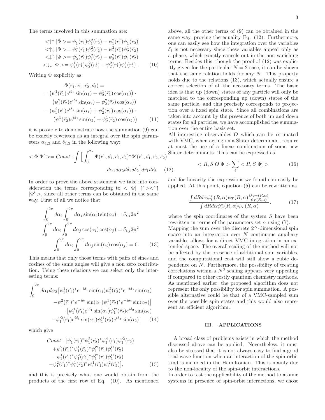The terms involved in this summation are:

$$
\langle \uparrow \uparrow | \Phi \rangle = \psi_1^1(\vec{r_1}) \psi_1^2(\vec{r_2}) - \psi_1^2(\vec{r_1}) \psi_1^1(\vec{r_2}) \n\langle \uparrow \downarrow | \Phi \rangle = \psi_1^1(\vec{r_1}) \psi_2^2(\vec{r_2}) - \psi_1^2(\vec{r_1}) \psi_2^1(\vec{r_2}) \n\langle \downarrow \uparrow | \Phi \rangle = \psi_2^1(\vec{r_1}) \psi_1^2(\vec{r_2}) - \psi_2^2(\vec{r_1}) \psi_1^1(\vec{r_2}) \n\langle \downarrow \downarrow | \Phi \rangle = \psi_2^1(\vec{r_1}) \psi_2^2(\vec{r_2}) - \psi_2^2(\vec{r_1}) \psi_2^1(\vec{r_2}). \tag{10}
$$

Writing  $\Phi$  explicitly as

$$
\Phi(\vec{r}_1, \vec{s}_1, \vec{r}_2, \vec{s}_2) =
$$
\n
$$
= (\psi_1^1(\vec{r}_1)e^{i\delta_1}\sin(\alpha_1) + \psi_2^1(\vec{r}_1)\cos(\alpha_1)) \cdot
$$
\n
$$
(\psi_1^2(\vec{r}_2)e^{i\delta_2}\sin(\alpha_2) + \psi_2^2(\vec{r}_2)\cos(\alpha_2))
$$
\n
$$
- (\psi_1^2(\vec{r}_1)e^{i\delta_1}\sin(\alpha_1) + \psi_2^2(\vec{r}_1)\cos(\alpha_1)) \cdot
$$
\n
$$
(\psi_1^1(\vec{r}_2)e^{i\delta_2}\sin(\alpha_2) + \psi_2^1(\vec{r}_2)\cos(\alpha_2)) \qquad (11)
$$

it is possible to demonstrate how the summation (9) can be exactly rewritten as an integral over the spin parameters  $\alpha_{1,2}$  and  $\delta_{1,2}$  in the following way:

$$
\langle \Phi | \Phi' \rangle = Const \cdot \int \left[ \int_0^{2\pi} \Phi(\vec{r}_1, \vec{s}_1, \vec{r}_2, \vec{s}_2)^* \Phi'(\vec{r}_1, \vec{s}_1, \vec{r}_2, \vec{s}_2) \right]^{\text{Sli}}
$$

$$
d\alpha_1 d\alpha_2 d\delta_1 d\delta_2 \left] d\vec{r}_1 d\vec{r}_2 \qquad (12)
$$

In order to prove the above statement we take into consideration the terms corresponding to  $\langle \Phi | \uparrow \uparrow \rangle \langle \uparrow \uparrow \rangle$  $|\Phi\rangle$ , since all other terms can be obtained in the same way. First of all we notice that

$$
\int_0^{2\pi} d\alpha_i \int_0^{2\pi} d\alpha_j \sin(\alpha_i) \sin(\alpha_j) = \delta_{i,j} 2\pi^2
$$

$$
\int_0^{2\pi} d\alpha_i \int_0^{2\pi} d\alpha_j \cos(\alpha_i) \cos(\alpha_j) = \delta_{i,j} 2\pi^2
$$

$$
\int_0^{2\pi} d\alpha_i \int_0^{2\pi} d\alpha_j \sin(\alpha_i) \cos(\alpha_j) = 0. \tag{13}
$$

This means that only those terms with pairs of sines and cosines of the same angles will give a non zero contribution. Using these relations we can select only the interesting terms:

$$
\int_0^{2\pi} d\alpha_1 d\alpha_2 \left[ \psi_1^1(\vec{r}_1)^* e^{-i\delta_1} \sin(\alpha_1) \psi_1^2(\vec{r}_2)^* e^{-i\delta_2} \sin(\alpha_2) -\psi_1^2(\vec{r}_1)^* e^{-i\delta_1} \sin(\alpha_1) \psi_1^1(\vec{r}_2)^* e^{-i\delta_2} \sin(\alpha_2) \right] \cdot \left[ \psi_1'^1(\vec{r}_1) e^{i\delta_1} \sin(\alpha_1) \psi_1'^2(\vec{r}_2) e^{i\delta_2} \sin(\alpha_2) -\psi_1'^2(\vec{r}_1) e^{i\delta_1} \sin(\alpha_1) \psi_1'^1(\vec{r}_2) e^{i\delta_2} \sin(\alpha_2) \right] \tag{14}
$$

which give

$$
Const \cdot [\psi_1^1(\vec{r}_1)^* \psi_1^2(\vec{r}_2)^* \psi_1'^1(\vec{r}_1) \psi_1'^2(\vec{r}_2) + \psi_1^2(\vec{r}_1)^* \psi_1^1(\vec{r}_2)^* \psi_1'^2(\vec{r}_1) \psi_1'^1(\vec{r}_2) -\psi_1^1(\vec{r}_1)^* \psi_1^2(\vec{r}_2)^* \psi_1'^2(\vec{r}_1) \psi_1'^1(\vec{r}_2) -\psi_1^2(\vec{r}_1)^* \psi_1^1(\vec{r}_2)^* \psi_1'^1(\vec{r}_1) \psi_1'^2(\vec{r}_2)],
$$
(15)

and this is precisely what one would obtain from the products of the first row of Eq. (10). As mentioned above, all the other terms of (9) can be obtained in the same way, proving the equality Eq. (12). Furthermore, one can easily see how the integration over the variables  $\delta_i$  is not necessary since these variables appear only as a phase, which exactly cancels out in the non-vanishing terms. Besides this, though the proof of (12) was explicitly given for the particular  $N = 2$  case, it can be shown that the same relation holds for any  $N$ . This property holds due to the relations (13), which actually ensure a correct selection of all the necessary terms. The basic idea is that up (down) states of any particle will only be matched to the corresponding up (down) states of the same particle, and this precisely corresponds to projection over a fixed spin state. Since all combinations are taken into account by the presence of both up and down states for all particles, we have accomplished the summation over the entire basis set.

All interesting observables O which can be estimated with VMC, when acting on a Slater determinant, require at most the use of a linear combination of some new Slater determinants. This can be expressed as

$$
\langle R, S|O|\Phi\rangle \sum_{i} \langle R, S|\Phi'_{i}\rangle \tag{16}
$$

and for linearity the expressions we found can easily be applied. At this point, equation (5) can be rewritten as

$$
\frac{\int dR d\alpha \psi_T^*(R,\alpha)\psi_T(R,\alpha)\frac{\partial \psi_T(R,\alpha)}{\psi_T(R,\alpha)}}{\int dR d\alpha \psi_T^*(R,\alpha)\psi_T(R,\alpha)}.\tag{17}
$$

where the spin coordinates of the system  $S$  have been rewritten in terms of the parameters set  $\alpha$  using (7).

Mapping the sum over the discrete  $2^N$ -dimensional spin space into an integration over  $N$  continuous auxiliary variables allows for a direct VMC integration in an extended space. The overall scaling of the method will not be affected by the presence of additional spin variables, and the computational cost will still show a cubic dependence on  $N$ . Furthermore, the possibility of treating correlations within a  $N^3$  scaling appears very appealing if compared to other costly quantum chemistry methods. As mentioned earlier, the proposed algorithm does not represent the only possibility for spin summation. A possible alternative could be that of a VMC-sampled sum over the possible spin states and this would also represent an efficient algorithm.

# III. APPLICATIONS

A broad class of problems exists in which the method discussed above can be applied. Nevertheless, it must also be stressed that it is not always easy to find a good trial wave function when an interaction of the spin-orbit kind is included in the Hamiltonian. This is mainly due to the non-locality of the spin-orbit interactions.

In order to test the applicability of the method to atomic systems in presence of spin-orbit interactions, we chose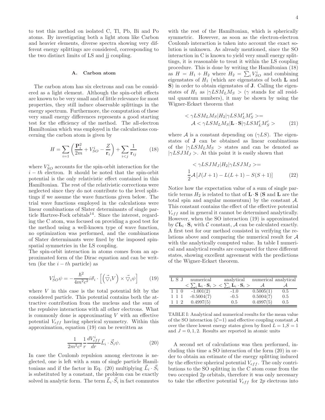to test this method on isolated C, Tl, Pb, Bi and Po atoms. By investigating both a light atom like Carbon and heavier elements, diverse spectra showing very different energy splittings are considered, corresponding to the two distinct limits of LS and jj coupling.

#### A. Carbon atom

The carbon atom has six electrons and can be considered as a light element. Although the spin-orbit effects are known to be very small and of little relevance for most properties, they still induce observable splittings in the energy spectrum. Furthermore, the computation of these very small energy differences represents a good starting test for the efficiency of the method. The all-electron Hamiltonian which was employed in the calculations concerning the carbon atom is given by

$$
H = \sum_{i=1} \left( \frac{\mathbf{P}_i^2}{2m} + V_{SO}^i - \frac{Z}{\mathbf{r}_i} \right) + \sum_{i < j} \frac{1}{\mathbf{r}_{ij}} \tag{18}
$$

where  $V_{SO}^{i}$  accounts for the spin-orbit interaction for the  $i - th$  electron. It should be noted that the spin-orbit potential is the only relativistic effect contained in this Hamiltonian. The rest of the relativistic corrections were neglected since they do not contribute to the level splittings if we assume the wave functions given below. The trial wave functions employed in the calculations were linear combinations of Slater determinants of single particle Hartree-Fock orbitals $14$ . Since the interest, regarding the C atom, was focused on providing a good test for the method using a well-known type of wave function, no optimization was performed, and the combinations of Slater determinants were fixed by the imposed spinspatial symmetries in the LS coupling.

The spin-orbit interaction in atoms comes from an approximated form of the Dirac equation and can be written (for the  $i - th$  particle) as

$$
V_{SO}^{i}\psi = -\frac{\hbar^{2}}{4m^{2}c^{2}}i\vec{\sigma}_{i} \cdot \left[ \left(\vec{\nabla}_{i}V\right) \times \vec{\nabla}_{i}\psi \right] \tag{19}
$$

where  $V$  in this case is the total potential felt by the considered particle. This potential contains both the attractive contribution from the nucleus and the sum of the repulsive interactions with all other electrons. What is commonly done is approximating  $V$  with an effective potential  $V_{eff}$  having spherical symmetry. Within this approximation, equation (19) can be rewritten as

$$
\frac{1}{2m^2c^2}\frac{1}{r}\frac{dV_{eff}^i}{dr}\vec{L}_i \cdot \vec{S}_i \psi.
$$
 (20)

In case the Coulomb repulsion among electrons is neglected, one is left with a sum of single particle Hamiltonians and if the factor in Eq. (20) multiplying  $\vec{L}_i \cdot \vec{S}_i$ is substituted by a constant, the problem can be exactly solved in analytic form. The term  $\vec{L}_i \cdot \vec{S}_i$  in fact commutes

with the rest of the Hamiltonian, which is spherically symmetric. However, as soon as the electron-electron Coulomb interaction is taken into account the exact solution is unknown. As already mentioned, since the SO interaction in C is known to yield very small energy splittings, it is reasonable to treat it within the LS coupling procedure. This is done by writing the Hamiltonian (18) as  $H = H_1 + H_2$  where  $H_2 = \sum_i V_{SO}^i$  and combining eigenstates of  $H_1$  (which are eigenstates of both **L** and S) in order to obtain eigenstates of **J**. Calling the eigenstates of  $H_1$  as  $|\gamma LSM_LM_S\rangle$  ( $\gamma$  stands for all residual quantum numbers), it may be shown by using the Wigner-Eckart theorem that

$$
\langle \gamma LSM_L M_S | H_2 | \gamma LSM_L' M_S' \rangle =
$$
  

$$
\mathcal{A} \langle \gamma LSM_L M_S | \mathbf{L} \cdot \mathbf{S} | \gamma LSM_L' M_S' \rangle
$$
 (21)

where A is a constant depending on  $(\gamma LS)$ . The eigenstates of J can be obtained as linear combinations of the  $|\gamma L S M_L M_S| >$  states and can be denoted as  $|\gamma L S J M_J >$ . At this point it is easily shown that

$$
\langle \gamma LSJM_J | H_2 | \gamma LSJM_J \rangle =
$$
  
\n
$$
\frac{1}{2} \mathcal{A} \left[ J(J+1) - L(L+1) - S(S+1) \right]
$$
 (22)

Notice how the expectation value of a sum of single particle terms  $H_2$  is related to that of  $\mathbf{L} \cdot \mathbf{S}$  (S and L are the total spin and angular momentum) by the constant  $A$ . This constant contains the effect of the effective potential  $V_{eff}$  and in general it cannot be determined analytically. However, when the SO interaction (19) is approximated by  $CL_i \cdot S_i$  with  $C$  constant,  $A$  can be calculated exactly. A first test for our method consisted in verifying the relations above and comparing the numerical result for A with the analytically computed value. In table I numerical and analytical results are compared for three different states, showing excellent agreement with the predictions of the Wigner-Eckart theorem.

| $\langle \sum_i \mathbf{L}_i \cdot \mathbf{S}_i \rangle$<br>$\mathbf{L}_i\cdot\mathbf{S}_i>$<br>$-1.001(2)$<br>0.5005(1)<br>$1 \t1 \t0$<br>0.5<br>$-1.0$<br>0.5004(7)<br>$-0.5004(7)$<br>0.5<br>1 1 1<br>$-0.5$<br>0.4997(5)<br>0.4997(5)<br>0.5<br>0.5 | L S J | numerical | analytical | numerical analytical |  |
|---------------------------------------------------------------------------------------------------------------------------------------------------------------------------------------------------------------------------------------------------------|-------|-----------|------------|----------------------|--|
|                                                                                                                                                                                                                                                         |       |           |            |                      |  |
|                                                                                                                                                                                                                                                         |       |           |            |                      |  |
|                                                                                                                                                                                                                                                         |       |           |            |                      |  |
|                                                                                                                                                                                                                                                         |       |           |            |                      |  |

TABLE I: Analytical and numerical results for the mean value of the SO interaction  $(C=1)$  and effective coupling constant A over the three lowest energy states given by fixed  $L = 1, S = 1$ and  $J = 0, 1, 2$ . Results are reported in atomic units

A second set of calculations was then performed, including this time a SO interaction of the form (20) in order to obtain an estimate of the energy splitting induced by the effective spherical potential  $V_{eff}$ . The only contributions to the SO splitting in the C atom come from the two occupied 2p orbitals, therefore it was only necessary to take the effective potential  $V_{eff}$  for 2p electrons into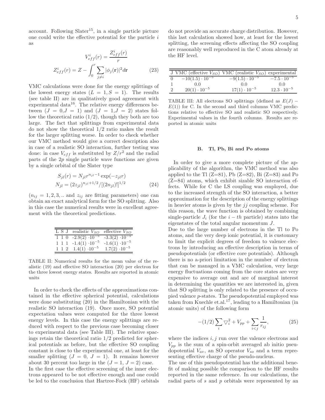account. Following  $Slater^{15}$ , in a single particle picture one could write the effective potential for the particle i as

$$
V_{eff}^{i}(r) = \frac{Z_{eff}^{i}(r)}{r}
$$

$$
Z_{eff}^{i}(r) = Z - \int_{0}^{r} \sum_{j \neq i} |\phi_{j}(\mathbf{r})|^{2} d\mathbf{r}
$$
(23)

VMC calculations were done for the energy splittings of the lowest energy states  $(L = 1, S = 1)$ . The results (see table II) are in qualitatively good agreement with experimental data $16$ . The relative energy differences between  $(J = 0, J = 1)$  and  $(J = 1, J = 2)$  states follow the theoretical ratio  $(1/2)$ , though they both are too large. The fact that splittings from experimental data do not show the theoretical 1/2 ratio makes the result for the larger splitting worse. In order to check whether our VMC method would give a correct description also in case of a realistic SO interaction, further testing was done: in case  $V_{eff}$  is substituted by  $Z/r^2$  and the radial parts of the 2p single particle wave functions are given by a single orbital of the Slater type

$$
S_{jl}(r) = N_{jl}r^{n_{jl}-1} \exp(-z_{jl}r)
$$
  

$$
N_{jl} = (2z_{jl})^{n_{jl}+1/2}/[(2n_{jl})!]^{1/2}
$$
 (24)

 $(n_{ij} = 1, 2, 3, ...$  and  $z_{ij}$  are fitting parameters) one can obtain an exact analytical form for the SO splitting. Also in this case the numerical results were in excellent agreement with the theoretical predictions.

| L S J realistic $V_{SO}$ effective $V_{SO}$ |                           |
|---------------------------------------------|---------------------------|
| $1 \t1 \t0 \t-2.9(2) \t10^{-5}$             | $-3.3(2) \cdot 10^{-5}$   |
| $1 \ 1 \ 1 \ -1.4(1) \cdot 10^{-5}$         | $-1.6(1)$ $\cdot 10^{-5}$ |
| $1 \ 1 \ 2 \ 1.4(1) \cdot 10^{-5}$          | $1.7(2) \cdot 10^{-5}$    |

TABLE II: Numerical results for the mean value of the realistic (19) and effective SO interaction (20) per electron for the three lowest energy states. Results are reported in atomic units

In order to check the effects of the approximations contained in the effective spherical potential, calculations were done substituting (20) in the Hamiltonian with the realistic SO interaction (19). Once more, SO potential expectation values were computed for the three lowest energy levels. In this case the energy splittings are reduced with respect to the previous case becoming closer to experimental data (see Table III). The relative spacings retain the theoretical ratio 1/2 predicted for spherical potentials as before, but the effective SO coupling constant is close to the experimental one, at least for the smaller splitting  $(J = 0, J = 1)$ . It remains however about 30 percent too large in the  $(J = 1, J = 2)$  case.

In the first case the effective screening of the inner electrons appeared to be not effective enough and one could be led to the conclusion that Hartree-Fock (HF) orbitals

|               | J VMC (effective $V_{SO}$ ) VMC (realistic $V_{SO}$ ) experimental |                       |                      |
|---------------|--------------------------------------------------------------------|-----------------------|----------------------|
|               | $-10(1.5)\cdot 10^{-5}$                                            | $-9(1.5)\cdot10^{-5}$ | $-7.5 \cdot 10^{-5}$ |
|               | (1)                                                                | (1)                   | 0.0                  |
| $\mathcal{D}$ | $20(1) \cdot 10^{-5}$                                              | $17(1) \cdot 10^{-5}$ | $12.3 \cdot 10^{-5}$ |

TABLE III: All electrons SO splittings (defined as  $E(J)$  –  $E(1)$ ) for C. In the second and third columns VMC predictions relative to effective SO and realistic SO respectively. Experimental values in the fourth columns. Results are reported in atomic units

#### B. Tl, Pb, Bi and Po atoms

In order to give a more complete picture of the applicability of the algorithm, the VMC method was also applied to the Tl  $(Z=81)$ , Pb  $(Z=82)$ , Bi  $(Z=83)$  and Po (Z=84) atoms, which exhibit sizable SO interaction effects. While for C the LS coupling was employed, due to the increased strength of the SO interaction, a better approximation for the description of the energy splittings in heavier atoms is given by the  $jj$  coupling scheme. For this reason, the wave function is obtained by combining single-particle  $J_i$  (for the  $i - th$  particle) states into the eigenstates of the total angular momentum J.

Due to the large number of electrons in the Tl to Po atoms, and the very deep ionic potential, it is customary to limit the explicit degrees of freedom to valence electrons by introducing an effective description in terms of pseudopotentials (or effective core potentials). Although there is no a-priori limitation in the number of electron that can be managed in a VMC calculation, very large energy fluctuations coming from the core states are very expensive to average out and are of marginal interest in determining the quantities we are interested in, given that SO splitting is only related to the presence of occupied valence p-states. The pseudopotential employed was taken from Kuechle et.al.<sup>17</sup>, leading to a Hamiltonian (in atomic units) of the following form

$$
-(1/2)\sum_{i}\nabla_{i}^{2} + V_{pp} + \sum_{i\n(25)
$$

where the indices  $i, j$  run over the valence electrons and  $V_{pp}$  is the sum of a spin-orbit averaged ab initio pseudopotential  $V_{av}$ , an SO operator  $V_{so}$  and a term representing effective charge of the pseudo-nucleus.

The use of this pseudopotential has the additional benefit of making possible the comparison to the HF results reported in the same reference. In our calculations, the radial parts of s and p orbitals were represented by an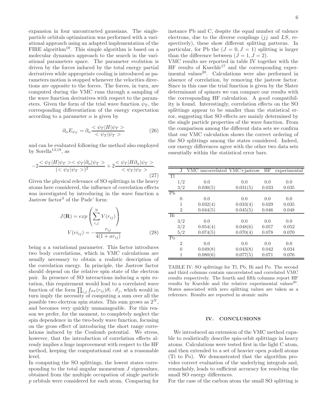expansion in four uncontracted gaussians. The singleparticle orbitals optimization was performed with a variational approach using an adapted implementation of the FIRE algorithm<sup>18</sup>. This simple algorithm is based on a molecular dynamics approach to the search in the variational parameters space. The parameter evolution is driven by the forces induced by the total energy partial derivatives while appropriate cooling is introduced as parameters motion is stopped whenever the velocities directions are opposite to the forces. The forces, in turn, are computed during the VMC runs through a sampling of the wave function derivatives with respect to the parameters. Given the form of the trial wave function  $\psi_T$ , the corresponding differentiation of the energy expectation according to a parameter  $\alpha$  is given by

$$
\partial_{\alpha} E_{\psi_T} = \partial_{\alpha} \frac{\langle \psi_T | H | \psi_T \rangle}{\langle \psi_T | \psi_T \rangle} \tag{26}
$$

and can be evaluated following the method also employed by Sorella<sup>13,19</sup>, as

$$
-2 \frac{\langle \psi_T | H | \psi_T \rangle \langle \psi_T | \partial_\alpha | \psi_T \rangle}{(\langle \psi_T | \psi_T \rangle)^2} + 2 \frac{\langle \psi_T | H \partial_\alpha | \psi_T \rangle}{\langle \psi_T | \psi_T \rangle}.
$$
\n(27)

Given the physical relevance of SO splittings in the heavy atoms here considered, the influence of correlation effects was investigated by introducing in the wave function a Jastrow factor<sup>3</sup> of the Pade' form:

$$
J(\mathbf{R}) = exp\left(\sum_{i,j}^{N} V(r_{ij})\right)
$$

$$
V(r i_{ij}) = -\frac{r_{ij}}{4(1 + ar_{ij})}
$$
(28)

being a a variational parameter. This factor introduces two body correlations, which in VMC calculations are usually necessary to obtain a realistic description of the correlation energy. In principle, the Jastrow factor should depend on the relative spin state of the electron pair. In presence of SO interactions inducing a spin rotation, this requirement would lead to a correlated wave function of the form  $\prod_{i,j} f_{\sigma\sigma}(r_{ij}) \vec{\sigma}_i \cdot \vec{\sigma}_j$ , which would in turn imply the necessity of computing a sum over all the possible two electron spin states. This sum grows as  $2^N$ , and becomes very quickly unmanageable. For this reason we prefer, for the moment, to completely neglect the spin dependence in the two-body wave function, focusing on the gross effect of introducing the short range correlations induced by the Coulomb potential. We stress, however, that the introduction of correlation effects already implies a huge improvement with respect to the HF method, keeping the computational cost at a reasonable level.

In computing the SO splittings, the lowest states corresponding to the total angular momentum  $J$  eigenvalues, obtained from the multiple occupation of single particle p orbitals were considered for each atom. Comparing for instance Pb and C, despite the equal number of valence electrons, due to the diverse couplings  $(jj \text{ and } LS, \text{ re-}$ spectively), these show different splitting patterns. In particular, for Pb the  $(J = 0, J = 1)$  splitting is larger than the difference between  $(J = 1, J = 2)$ .

VMC results are reported in table IV together with the  $HF$  results of Kuechle<sup>17</sup> and the corresponding experimental values<sup>20</sup>. Calculations were also performed in absence of correlation, by removing the jastrow factor. Since in this case the trial function is given by the Slater determinant of spinors we can compare our results with the corresponding HF calculation. A good compatibility is found. Interestingly, correlation effects on the SO splittings appear to be smaller than the statistical error, suggesting that SO effects are mainly determined by the single particle properties of the wave function. From the comparison among the different data sets we confirm that our VMC calculation shows the correct ordering of the SO splittings among the states considered. Indeed, our energy differences agree with the other two data sets essentially within the statistical error bars.

|                | J.             | VMC uncorrelated VMC+jastrow |          | HF    | experimental |
|----------------|----------------|------------------------------|----------|-------|--------------|
| T <sup>1</sup> |                |                              |          |       |              |
|                | 1/2            | 0.0                          | 0.0      | 0.0   | 0.0          |
|                | 3/2            | 0.030(5)                     | 0.031(5) | 0.033 | 0.035        |
| P <sub>b</sub> |                |                              |          |       |              |
|                | 0              | 0.0                          | 0.0      | 0.0   | 0.0          |
|                | 1              | 0.032(4)                     | 0.033(4) | 0.029 | 0.035        |
|                | $\overline{2}$ | 0.044(5)                     | 0.045(5) | 0.046 | 0.048        |
| Bi             |                |                              |          |       |              |
|                | 3/2            | 0.0                          | 0.0      | 0.0   | 0.0          |
|                | 3/2            | 0.054(4)                     | 0.048(6) | 0.057 | 0.052        |
|                | 5/2            | 0.074(5)                     | 0.070(4) | 0.078 | 0.070        |
| P <sub>0</sub> |                |                              |          |       |              |
|                | $\mathcal{D}$  | 0.0                          | 0.0      | 0.0   | 0.0          |
|                | $\theta$       | 0.049(8)                     | 0.043(8) | 0.042 | 0.034        |
|                |                | 0.080(6)                     | 0.077(5) | 0.071 | 0.076        |

TABLE IV: SO splittings for Tl, Pb, Bi and Po. The second and third columns contain uncorrelated and correlated VMC results respectively. The fourth and fifth columns report HF results by Kuechle and the relative experimental values<sup>20</sup>. States associated with zero splitting values are taken as a reference. Results are reported in atomic units

#### IV. CONCLUSIONS

We introduced an extension of the VMC method capable to realistically describe spin-orbit splittings in heavy atoms. Calculations were tested first in the light C atom, and then extended to a set of heavier open p-shell atoms (Ti to Po). We demonstrated that the algorithm provides correct evaluation of the underlying integrals and, remarkably, leads to sufficient accuracy for resolving the small SO energy differences.

For the case of the carbon atom the small SO splitting is